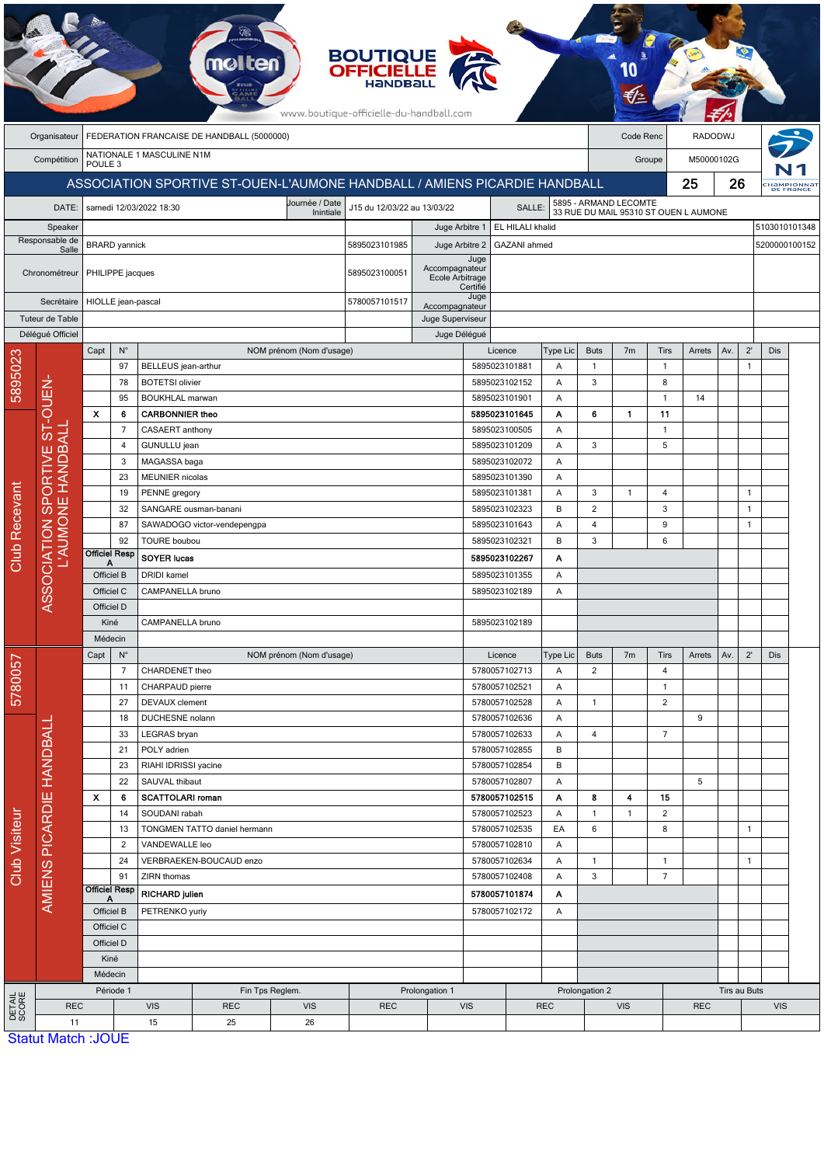| <b>BOUTIQUE</b><br><b>OFFICIELLE</b><br>www.boutique-officielle-du-handball.com |                                                                           |                                                 |                                                                  |                                                  |                                   |                             |                                       |                                          |                                           |                                |                                  |                                                                |                |                    |        |                              |                |               |                        |
|---------------------------------------------------------------------------------|---------------------------------------------------------------------------|-------------------------------------------------|------------------------------------------------------------------|--------------------------------------------------|-----------------------------------|-----------------------------|---------------------------------------|------------------------------------------|-------------------------------------------|--------------------------------|----------------------------------|----------------------------------------------------------------|----------------|--------------------|--------|------------------------------|----------------|---------------|------------------------|
|                                                                                 | Organisateur                                                              | FEDERATION FRANCAISE DE HANDBALL (5000000)      |                                                                  |                                                  |                                   |                             |                                       |                                          |                                           |                                |                                  | Code Renc                                                      |                | <b>RADODWJ</b>     |        |                              |                |               |                        |
|                                                                                 |                                                                           | NATIONALE 1 MASCULINE N1M                       |                                                                  |                                                  |                                   |                             |                                       |                                          |                                           |                                |                                  | Groupe                                                         | M50000102G     |                    |        |                              |                |               |                        |
|                                                                                 | Compétition<br>POULE <sub>3</sub>                                         |                                                 |                                                                  |                                                  |                                   |                             |                                       |                                          |                                           |                                |                                  |                                                                |                |                    |        |                              |                |               |                        |
|                                                                                 | ASSOCIATION SPORTIVE ST-OUEN-L'AUMONE HANDBALL / AMIENS PICARDIE HANDBALL |                                                 |                                                                  |                                                  |                                   |                             |                                       |                                          |                                           |                                |                                  |                                                                |                |                    | 25     | 26                           |                |               | HaMPIONNA<br>DE FRANCE |
|                                                                                 | DATE:                                                                     |                                                 |                                                                  | samedi 12/03/2022 18:30                          |                                   | Journée / Date<br>Inintiale | J15 du 12/03/22 au 13/03/22<br>SALLE: |                                          |                                           |                                |                                  | 5895 - ARMAND LECOMTE<br>33 RUE DU MAIL 95310 ST OUEN L AUMONE |                |                    |        |                              |                |               |                        |
|                                                                                 | Speaker                                                                   |                                                 |                                                                  |                                                  |                                   |                             | EL HILALI khalid<br>Juge Arbitre 1    |                                          |                                           |                                |                                  |                                                                |                |                    |        |                              | 5103010101348  |               |                        |
| Responsable de<br>Salle                                                         |                                                                           | <b>BRARD</b> yannick                            |                                                                  |                                                  |                                   |                             | 5895023101985                         |                                          | Juge Arbitre 2<br>GAZANI ahmed            |                                |                                  |                                                                |                |                    |        |                              |                | 5200000100152 |                        |
| Chronométreur<br>Secrétaire                                                     |                                                                           | PHILIPPE jacques                                |                                                                  |                                                  |                                   |                             | 5895023100051                         | Accompagnateur<br>Ecole Arbitrage        | Juge                                      |                                |                                  |                                                                |                |                    |        |                              |                |               |                        |
|                                                                                 |                                                                           | HIOLLE jean-pascal                              |                                                                  |                                                  |                                   |                             | 5780057101517                         |                                          | Certifié<br>Juge                          |                                |                                  |                                                                |                |                    |        |                              |                |               |                        |
|                                                                                 | Tuteur de Table                                                           |                                                 |                                                                  |                                                  |                                   |                             |                                       | Accompagnateur<br>Juge Superviseur       |                                           |                                |                                  |                                                                |                |                    |        |                              |                |               |                        |
|                                                                                 | Délégué Officiel                                                          |                                                 |                                                                  |                                                  |                                   |                             |                                       | Juge Délégué                             |                                           |                                |                                  |                                                                |                |                    |        |                              |                |               |                        |
|                                                                                 |                                                                           | Capt                                            | $N^{\circ}$                                                      |                                                  |                                   | NOM prénom (Nom d'usage)    |                                       |                                          |                                           | Licence<br>Type Lic            |                                  | <b>Buts</b>                                                    | 7 <sub>m</sub> | Tirs               | Arrets | Av.                          | $2^{\prime}$   | Dis           |                        |
| 5895023                                                                         |                                                                           |                                                 | 97                                                               | <b>BELLEUS</b> jean-arthur                       |                                   |                             |                                       |                                          | 5895023101881                             |                                | Α                                | $\mathbf{1}$                                                   |                | $\mathbf{1}$       |        |                              | $\mathbf{1}$   |               |                        |
|                                                                                 |                                                                           |                                                 | 78                                                               | <b>BOTETSI</b> olivier                           |                                   |                             |                                       |                                          | 5895023102152                             |                                | Α                                | 3                                                              |                | 8                  |        |                              |                |               |                        |
|                                                                                 | OUEN.                                                                     | $\boldsymbol{\mathsf{x}}$                       | 95<br>6                                                          | <b>BOUKHLAL marwan</b><br><b>CARBONNIER theo</b> |                                   |                             |                                       |                                          | 5895023101901                             | 5895023101645                  | Α<br>Α                           | 6                                                              | $\mathbf{1}$   | $\mathbf{1}$<br>11 | 14     |                              |                |               |                        |
|                                                                                 |                                                                           |                                                 | $\overline{7}$                                                   | CASAERT anthony                                  |                                   |                             |                                       |                                          | 5895023100505                             |                                | Α                                |                                                                |                | 1                  |        |                              |                |               |                        |
|                                                                                 | E ST-                                                                     |                                                 | $\overline{4}$                                                   | GUNULLU jean                                     |                                   |                             |                                       |                                          | 5895023101209                             |                                | Α                                | 3                                                              |                | 5                  |        |                              |                |               |                        |
|                                                                                 |                                                                           |                                                 | 3                                                                | MAGASSA baga                                     |                                   |                             |                                       |                                          | 5895023102072                             |                                | Α                                |                                                                |                |                    |        |                              |                |               |                        |
|                                                                                 | <b>HANDBALI</b><br>눈<br>ASSOCIATION SPO<br>L'AUMONE H                     |                                                 | 23                                                               | <b>MEUNIER</b> nicolas                           |                                   |                             |                                       |                                          | 5895023101390                             |                                | Α                                |                                                                |                |                    |        |                              |                |               |                        |
|                                                                                 |                                                                           |                                                 | 19<br>PENNE gregory                                              |                                                  |                                   |                             |                                       |                                          | 5895023101381<br>Α                        |                                |                                  | 3                                                              | 1              | 4                  |        |                              | 1              |               |                        |
|                                                                                 |                                                                           |                                                 | 32<br>SANGARE ousman-banani<br>87<br>SAWADOGO victor-vendepengpa |                                                  |                                   |                             |                                       | 5895023102323<br>B<br>A<br>5895023101643 |                                           |                                | $\overline{c}$<br>$\overline{4}$ |                                                                | 3<br>9         |                    |        | $\mathbf{1}$<br>$\mathbf{1}$ |                |               |                        |
| Club Recevant                                                                   |                                                                           | 92                                              |                                                                  | <b>TOURE</b> boubou                              |                                   |                             |                                       |                                          |                                           | B<br>5895023102321             |                                  |                                                                |                | 6                  |        |                              |                |               |                        |
|                                                                                 |                                                                           | <b>Officiel Resp</b><br><b>SOYER lucas</b><br>Α |                                                                  |                                                  |                                   |                             |                                       |                                          | 5895023102267                             | Α                              | 3                                |                                                                |                |                    |        |                              |                |               |                        |
|                                                                                 |                                                                           | Officiel B<br><b>DRIDI</b> kamel                |                                                                  |                                                  |                                   |                             |                                       | 5895023101355                            |                                           | Α                              |                                  |                                                                |                |                    |        |                              |                |               |                        |
|                                                                                 |                                                                           | Officiel C                                      |                                                                  | CAMPANELLA bruno                                 |                                   |                             | Α<br>5895023102189                    |                                          |                                           |                                |                                  |                                                                |                |                    |        |                              |                |               |                        |
|                                                                                 |                                                                           | Officiel D                                      |                                                                  |                                                  |                                   |                             |                                       |                                          |                                           |                                |                                  |                                                                |                |                    |        |                              |                |               |                        |
|                                                                                 |                                                                           | Kiné                                            |                                                                  | CAMPANELLA bruno                                 |                                   |                             |                                       | 5895023102189                            |                                           |                                |                                  |                                                                |                |                    |        |                              |                |               |                        |
|                                                                                 |                                                                           | Médecin<br>$\mathsf{N}^\circ$<br>Capt           |                                                                  |                                                  |                                   | NOM prénom (Nom d'usage)    |                                       |                                          | Licence<br>Type Lic                       |                                |                                  | <b>Buts</b>                                                    | 7 <sub>m</sub> | Tirs               | Arrets | Av.                          | $2^{\prime}$   | Dis           |                        |
| 5780057                                                                         |                                                                           |                                                 | $\overline{7}$                                                   | CHARDENET theo                                   |                                   |                             |                                       |                                          |                                           | 5780057102713                  |                                  | $\overline{2}$                                                 |                | $\overline{4}$     |        |                              |                |               |                        |
|                                                                                 |                                                                           | 11                                              |                                                                  | CHARPAUD pierre                                  |                                   |                             |                                       |                                          | 5780057102521                             |                                |                                  |                                                                |                | $\mathbf{1}$       |        |                              |                |               |                        |
|                                                                                 |                                                                           | 27<br>18                                        |                                                                  | DEVAUX clement                                   |                                   |                             |                                       |                                          |                                           | 5780057102528<br>Α             |                                  | $\mathbf{1}$                                                   |                | $\overline{2}$     |        |                              |                |               |                        |
|                                                                                 |                                                                           |                                                 |                                                                  | DUCHESNE nolann                                  |                                   |                             |                                       |                                          | 5780057102636                             |                                | Α                                |                                                                |                |                    | 9      |                              |                |               |                        |
|                                                                                 |                                                                           |                                                 | 33<br>21                                                         | LEGRAS bryan<br>POLY adrien                      |                                   |                             |                                       |                                          | 5780057102633                             |                                | A<br>В                           | 4                                                              |                | $\overline{7}$     |        |                              |                |               |                        |
|                                                                                 |                                                                           |                                                 | 23                                                               | RIAHI IDRISSI yacine                             |                                   |                             |                                       |                                          |                                           | 5780057102855<br>5780057102854 |                                  |                                                                |                |                    |        |                              |                |               |                        |
|                                                                                 |                                                                           |                                                 | 22                                                               | SAUVAL thibaut                                   |                                   |                             |                                       |                                          |                                           | 5780057102807                  |                                  |                                                                |                |                    | 5      |                              |                |               |                        |
|                                                                                 |                                                                           | $\boldsymbol{\mathsf{x}}$                       | 6                                                                | <b>SCATTOLARI roman</b>                          |                                   |                             |                                       |                                          | 5780057102515                             |                                | Α                                | 8                                                              | 4              | 15                 |        |                              |                |               |                        |
| <b>Club Visiteur</b>                                                            | AMIENS PICARDIE HANDBALL                                                  |                                                 | 14                                                               | SOUDANI rabah                                    |                                   |                             |                                       |                                          | 5780057102523                             |                                | Α                                | $\mathbf{1}$                                                   | 1              | $\overline{c}$     |        |                              |                |               |                        |
|                                                                                 |                                                                           |                                                 | 13                                                               |                                                  | TONGMEN TATTO daniel hermann      |                             |                                       |                                          | 5780057102535<br>EA<br>5780057102810<br>Α |                                |                                  | 6                                                              |                | 8                  |        |                              | $\mathbf{1}$   |               |                        |
|                                                                                 |                                                                           |                                                 | $\overline{2}$<br>24                                             | VANDEWALLE leo                                   | VERBRAEKEN-BOUCAUD enzo           |                             |                                       |                                          |                                           | 5780057102634                  |                                  | $\mathbf{1}$                                                   |                | $\overline{1}$     |        |                              | $\overline{1}$ |               |                        |
|                                                                                 |                                                                           |                                                 | 91                                                               | ZIRN thomas                                      |                                   |                             |                                       | Α<br>5780057102408<br>Α                  |                                           |                                | 3                                |                                                                | $\overline{7}$ |                    |        |                              |                |               |                        |
|                                                                                 |                                                                           | <b>Officiel Resp</b><br>RICHARD julien          |                                                                  |                                                  |                                   |                             |                                       | 5780057101874<br>Α                       |                                           |                                |                                  |                                                                |                |                    |        |                              |                |               |                        |
|                                                                                 |                                                                           | Officiel B                                      |                                                                  |                                                  | PETRENKO yuriy                    |                             |                                       | 5780057102172<br>A                       |                                           |                                |                                  |                                                                |                |                    |        |                              |                |               |                        |
|                                                                                 |                                                                           | Officiel C                                      |                                                                  |                                                  |                                   |                             |                                       |                                          |                                           |                                |                                  |                                                                |                |                    |        |                              |                |               |                        |
|                                                                                 |                                                                           | Officiel D                                      |                                                                  |                                                  |                                   |                             |                                       |                                          |                                           |                                |                                  |                                                                |                |                    |        |                              |                |               |                        |
|                                                                                 |                                                                           | Kiné                                            |                                                                  |                                                  |                                   |                             |                                       |                                          |                                           |                                |                                  |                                                                |                |                    |        |                              |                |               |                        |
|                                                                                 |                                                                           | Médecin<br>Période 1                            |                                                                  |                                                  | Fin Tps Reglem.<br>Prolongation 1 |                             |                                       |                                          |                                           |                                | Prolongation 2                   |                                                                |                |                    |        | Tirs au Buts                 |                |               |                        |
| DETAIL<br>SCORE                                                                 | <b>REC</b>                                                                |                                                 | <b>VIS</b><br><b>REC</b><br><b>VIS</b>                           |                                                  |                                   | <b>REC</b>                  |                                       | <b>VIS</b>                               |                                           | <b>REC</b>                     | <b>VIS</b>                       |                                                                |                | <b>REC</b>         |        |                              | <b>VIS</b>     |               |                        |
|                                                                                 | 11                                                                        |                                                 |                                                                  | 25<br>26<br>15                                   |                                   |                             |                                       |                                          |                                           |                                |                                  |                                                                |                |                    |        |                              |                |               |                        |
|                                                                                 | Statut Match : IOLIF                                                      |                                                 |                                                                  |                                                  |                                   |                             |                                       |                                          |                                           |                                |                                  |                                                                |                |                    |        |                              |                |               |                        |

Statut Match :JOUE